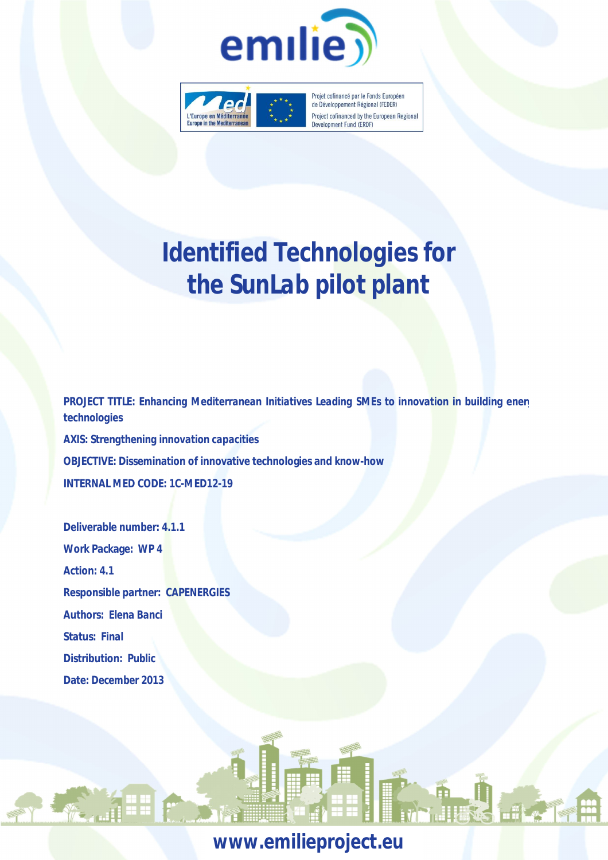



Projet cofinancé par le Fonds Européen de Développement Régional (FEDER) Project cofinanced by the European Regional Development Fund (ERDF)

# *Identified Technologies for the SunLab pilot plant*

**PROJECT TITLE: Enhancing Mediterranean Initiatives Leading SMEs to innovation in building energy** *technologies* **AXIS:** *Strengthening innovation capacities* **OBJECTIVE: Dissemination of innovative technologies and know-how INTERNAL MED CODE:** *1C-MED12-19*

**Deliverable number: 4.1.1 Work Package:** *WP 4* **Action: 4.1 Responsible partner:** *CAPENERGIES* **Authors:** *Elena Banci* **Status:** *Final* **Distribution:** *Public* **Date:** *December 2013*

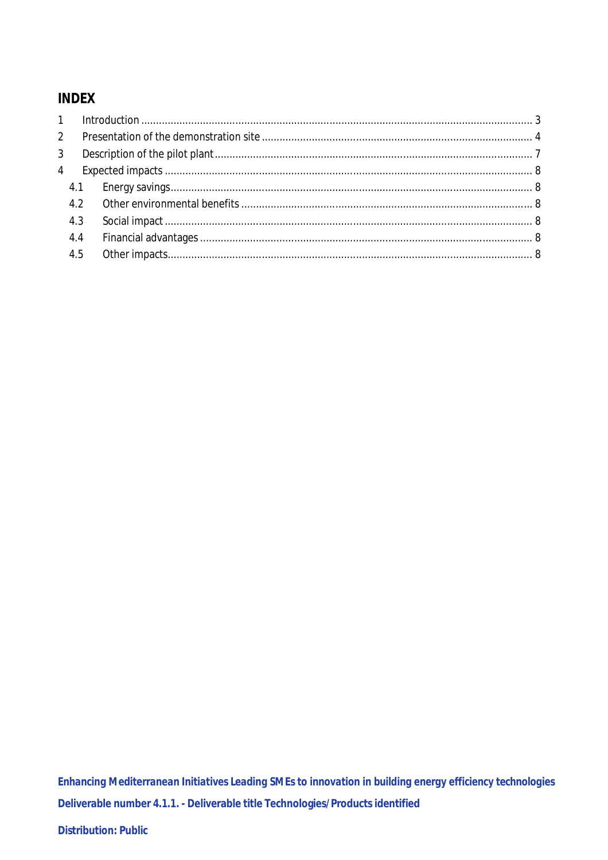# **INDEX**

| $\overline{2}$ |     |  |
|----------------|-----|--|
| 3              |     |  |
| $\overline{4}$ |     |  |
|                |     |  |
|                |     |  |
|                | 4.3 |  |
|                | 4.4 |  |
|                | 4.5 |  |
|                |     |  |

Enhancing Mediterranean Initiatives Leading SMEs to innovation in building energy efficiency technologies Deliverable number 4.1.1. - Deliverable title Technologies/Products identified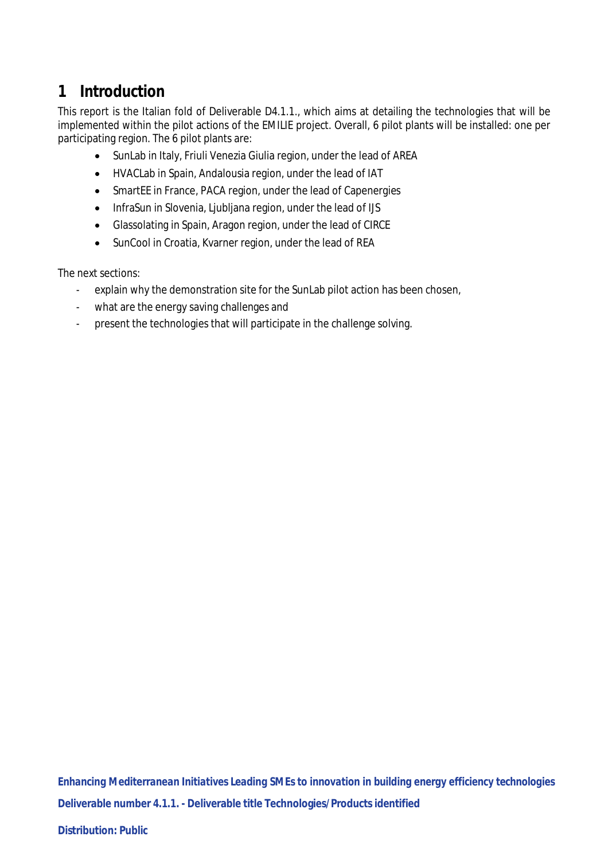# **1 Introduction**

This report is the Italian fold of Deliverable D4.1.1., which aims at detailing the technologies that will be implemented within the pilot actions of the EMILIE project. Overall, 6 pilot plants will be installed: one per participating region. The 6 pilot plants are:

- SunLab in Italy, Friuli Venezia Giulia region, under the lead of AREA
- HVACLab in Spain, Andalousia region, under the lead of IAT
- SmartEE in France, PACA region, under the lead of Capenergies
- InfraSun in Slovenia, Liubliana region, under the lead of IJS
- Glassolating in Spain, Aragon region, under the lead of CIRCE
- SunCool in Croatia, Kvarner region, under the lead of REA

The next sections:

- explain why the demonstration site for the SunLab pilot action has been chosen,
- what are the energy saving challenges and
- present the technologies that will participate in the challenge solving.

*Enhancing Mediterranean Initiatives Leading SMEs to innovation in building energy efficiency technologies* **Deliverable number 4.1.1. - Deliverable title Technologies/Products identified**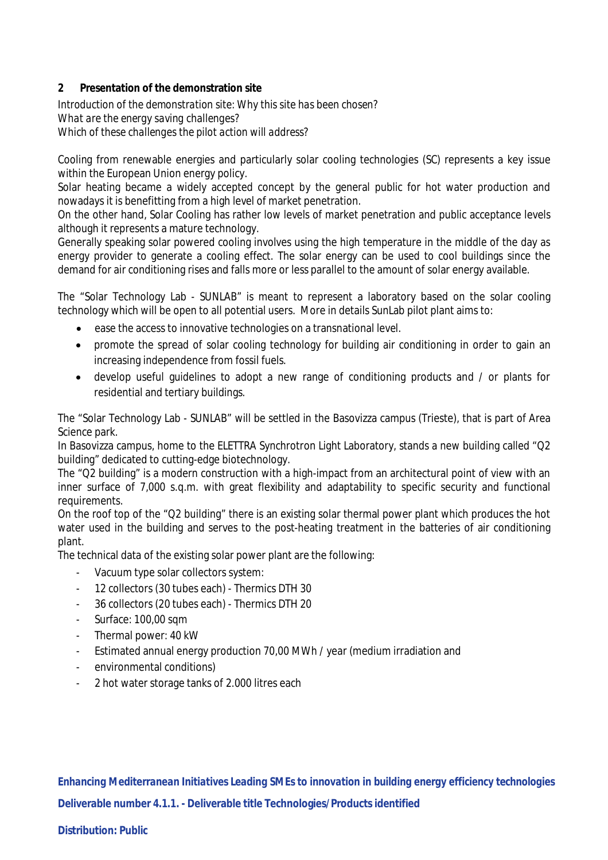# **2 Presentation of the demonstration site**

*Introduction of the demonstration site: Why this site has been chosen? What are the energy saving challenges? Which of these challenges the pilot action will address?*

Cooling from renewable energies and particularly solar cooling technologies (SC) represents a key issue within the European Union energy policy.

Solar heating became a widely accepted concept by the general public for hot water production and nowadays it is benefitting from a high level of market penetration.

On the other hand, Solar Cooling has rather low levels of market penetration and public acceptance levels although it represents a mature technology.

Generally speaking solar powered cooling involves using the high temperature in the middle of the day as energy provider to generate a cooling effect. The solar energy can be used to cool buildings since the demand for air conditioning rises and falls more or less parallel to the amount of solar energy available.

The "Solar Technology Lab - SUNLAB" is meant to represent a laboratory based on the solar cooling technology which will be open to all potential users. More in details SunLab pilot plant aims to:

- ease the access to innovative technologies on a transnational level.
- promote the spread of solar cooling technology for building air conditioning in order to gain an increasing independence from fossil fuels.
- develop useful guidelines to adopt a new range of conditioning products and / or plants for residential and tertiary buildings.

The "Solar Technology Lab - SUNLAB" will be settled in the Basovizza campus (Trieste), that is part of Area Science park.

In Basovizza campus, home to the ELETTRA Synchrotron Light Laboratory, stands a new building called "Q2 building" dedicated to cutting-edge biotechnology.

The "Q2 building" is a modern construction with a high-impact from an architectural point of view with an inner surface of 7,000 s.q.m. with great flexibility and adaptability to specific security and functional requirements.

On the roof top of the "Q2 building" there is an existing solar thermal power plant which produces the hot water used in the building and serves to the post-heating treatment in the batteries of air conditioning plant.

The technical data of the existing solar power plant are the following:

- Vacuum type solar collectors system:
- 12 collectors (30 tubes each) Thermics DTH 30
- 36 collectors (20 tubes each) Thermics DTH 20
- Surface: 100,00 sqm
- Thermal power: 40 kW
- Estimated annual energy production 70,00 MWh / year (medium irradiation and
- environmental conditions)
- 2 hot water storage tanks of 2.000 litres each

*Enhancing Mediterranean Initiatives Leading SMEs to innovation in building energy efficiency technologies* **Deliverable number 4.1.1. - Deliverable title Technologies/Products identified**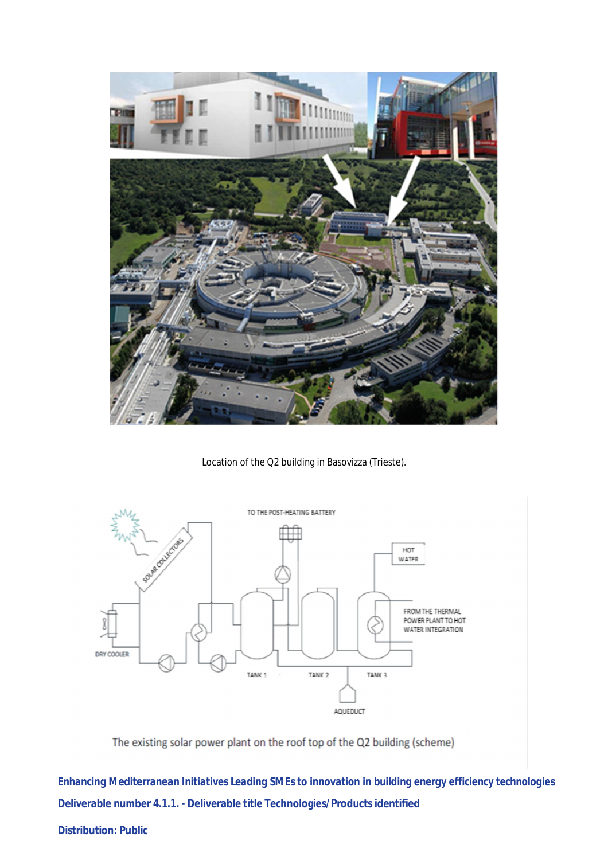

Location of the Q2 building in Basovizza (Trieste).



The existing solar power plant on the roof top of the Q2 building (scheme)

*Enhancing Mediterranean Initiatives Leading SMEs to innovation in building energy efficiency technologies* **Deliverable number 4.1.1. - Deliverable title Technologies/Products identified**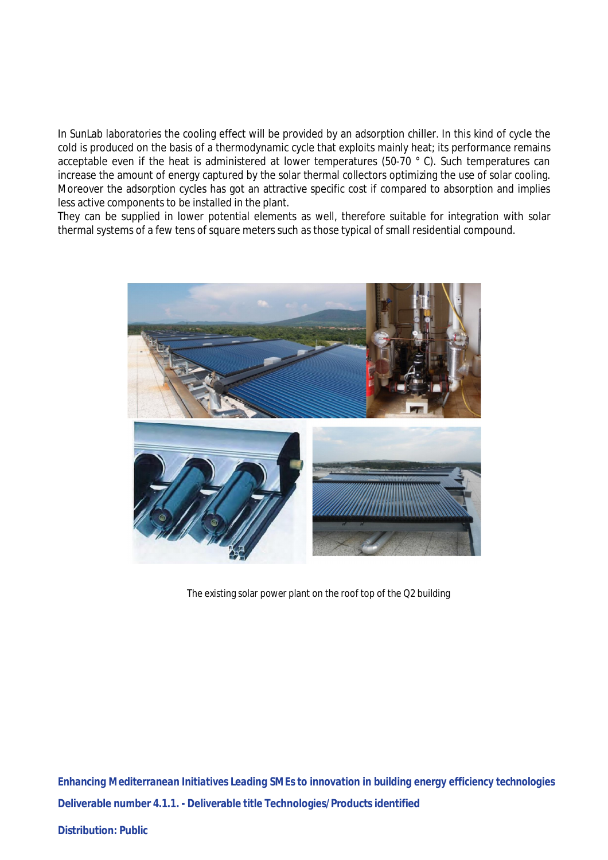In SunLab laboratories the cooling effect will be provided by an adsorption chiller. In this kind of cycle the cold is produced on the basis of a thermodynamic cycle that exploits mainly heat; its performance remains acceptable even if the heat is administered at lower temperatures (50-70 ° C). Such temperatures can increase the amount of energy captured by the solar thermal collectors optimizing the use of solar cooling. Moreover the adsorption cycles has got an attractive specific cost if compared to absorption and implies less active components to be installed in the plant.

They can be supplied in lower potential elements as well, therefore suitable for integration with solar thermal systems of a few tens of square meters such as those typical of small residential compound.



The existing solar power plant on the roof top of the Q2 building

*Enhancing Mediterranean Initiatives Leading SMEs to innovation in building energy efficiency technologies* **Deliverable number 4.1.1. - Deliverable title Technologies/Products identified**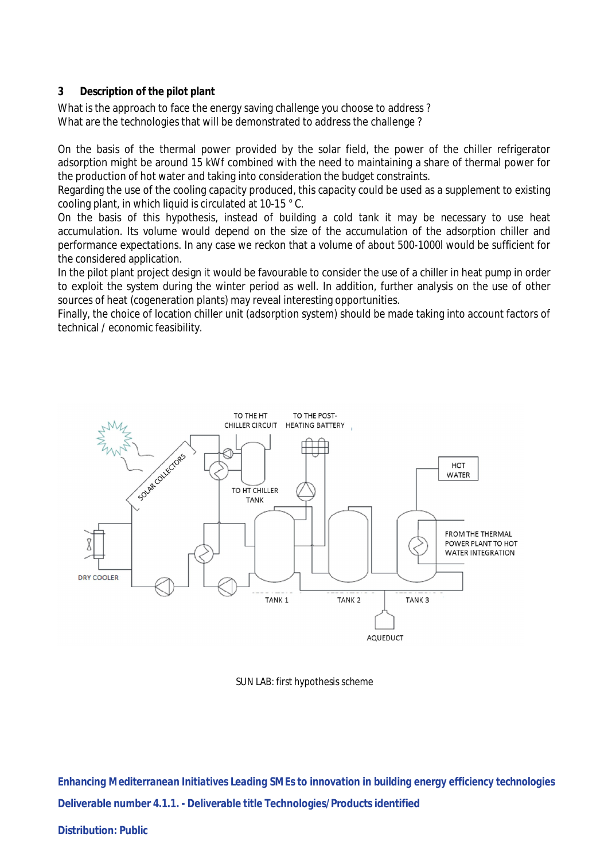# **3 Description of the pilot plant**

What is the approach to face the energy saving challenge you choose to address? What are the technologies that will be demonstrated to address the challenge ?

On the basis of the thermal power provided by the solar field, the power of the chiller refrigerator adsorption might be around 15 kWf combined with the need to maintaining a share of thermal power for the production of hot water and taking into consideration the budget constraints.

Regarding the use of the cooling capacity produced, this capacity could be used as a supplement to existing cooling plant, in which liquid is circulated at 10-15 ° C.

On the basis of this hypothesis, instead of building a cold tank it may be necessary to use heat accumulation. Its volume would depend on the size of the accumulation of the adsorption chiller and performance expectations. In any case we reckon that a volume of about 500-1000l would be sufficient for the considered application.

In the pilot plant project design it would be favourable to consider the use of a chiller in heat pump in order to exploit the system during the winter period as well. In addition, further analysis on the use of other sources of heat (cogeneration plants) may reveal interesting opportunities.

Finally, the choice of location chiller unit (adsorption system) should be made taking into account factors of technical / economic feasibility.



SUN LAB: first hypothesis scheme

*Enhancing Mediterranean Initiatives Leading SMEs to innovation in building energy efficiency technologies* **Deliverable number 4.1.1. - Deliverable title Technologies/Products identified**